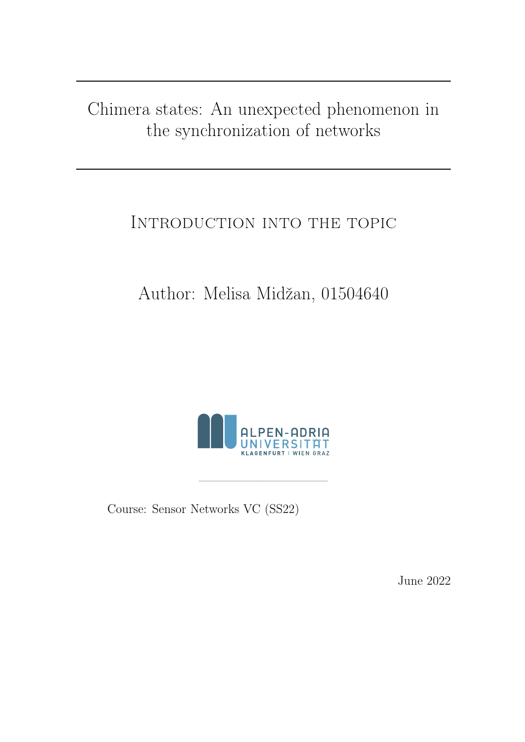Chimera states: An unexpected phenomenon in the synchronization of networks

### Introduction into the topic

## Author: Melisa Midžan, 01504640



————————————–

Course: Sensor Networks VC (SS22)

June 2022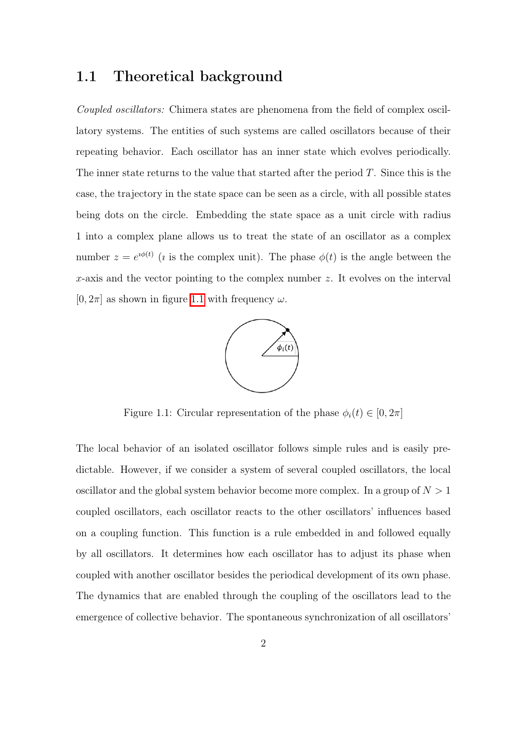#### 1.1 Theoretical background

*Coupled oscillators:* Chimera states are phenomena from the field of complex oscillatory systems. The entities of such systems are called oscillators because of their repeating behavior. Each oscillator has an inner state which evolves periodically. The inner state returns to the value that started after the period *T*. Since this is the case, the trajectory in the state space can be seen as a circle, with all possible states being dots on the circle. Embedding the state space as a unit circle with radius 1 into a complex plane allows us to treat the state of an oscillator as a complex number  $z = e^{i\phi(t)}$  (*i* is the complex unit). The phase  $\phi(t)$  is the angle between the *x*-axis and the vector pointing to the complex number *z*. It evolves on the interval  $[0, 2\pi]$  as shown in figure [1.1](#page-1-0) with frequency  $\omega$ .

<span id="page-1-0"></span>

Figure 1.1: Circular representation of the phase  $\phi_i(t) \in [0, 2\pi]$ 

The local behavior of an isolated oscillator follows simple rules and is easily predictable. However, if we consider a system of several coupled oscillators, the local oscillator and the global system behavior become more complex. In a group of *N >* 1 coupled oscillators, each oscillator reacts to the other oscillators' influences based on a coupling function. This function is a rule embedded in and followed equally by all oscillators. It determines how each oscillator has to adjust its phase when coupled with another oscillator besides the periodical development of its own phase. The dynamics that are enabled through the coupling of the oscillators lead to the emergence of collective behavior. The spontaneous synchronization of all oscillators'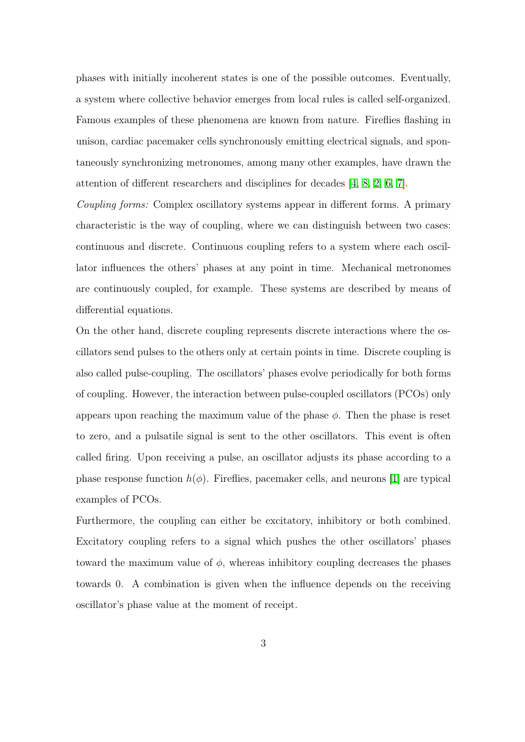phases with initially incoherent states is one of the possible outcomes. Eventually, a system where collective behavior emerges from local rules is called self-organized. Famous examples of these phenomena are known from nature. Fireflies flashing in unison, cardiac pacemaker cells synchronously emitting electrical signals, and spontaneously synchronizing metronomes, among many other examples, have drawn the attention of different researchers and disciplines for decades  $[4, 8, 2, 6]$  $[4, 8, 2, 6]$  $[4, 8, 2, 6]$  $[4, 8, 2, 6]$ .

*Coupling forms:* Complex oscillatory systems appear in different forms. A primary characteristic is the way of coupling, where we can distinguish between two cases: continuous and discrete. Continuous coupling refers to a system where each oscillator influences the others' phases at any point in time. Mechanical metronomes are continuously coupled, for example. These systems are described by means of differential equations.

On the other hand, discrete coupling represents discrete interactions where the oscillators send pulses to the others only at certain points in time. Discrete coupling is also called pulse-coupling. The oscillators' phases evolve periodically for both forms of coupling. However, the interaction between pulse-coupled oscillators (PCOs) only appears upon reaching the maximum value of the phase  $\phi$ . Then the phase is reset to zero, and a pulsatile signal is sent to the other oscillators. This event is often called firing. Upon receiving a pulse, an oscillator adjusts its phase according to a phase response function  $h(\phi)$ . Fireflies, pacemaker cells, and neurons  $\Box$  are typical examples of PCOs.

Furthermore, the coupling can either be excitatory, inhibitory or both combined. Excitatory coupling refers to a signal which pushes the other oscillators' phases toward the maximum value of  $\phi$ , whereas inhibitory coupling decreases the phases towards 0. A combination is given when the influence depends on the receiving oscillator's phase value at the moment of receipt.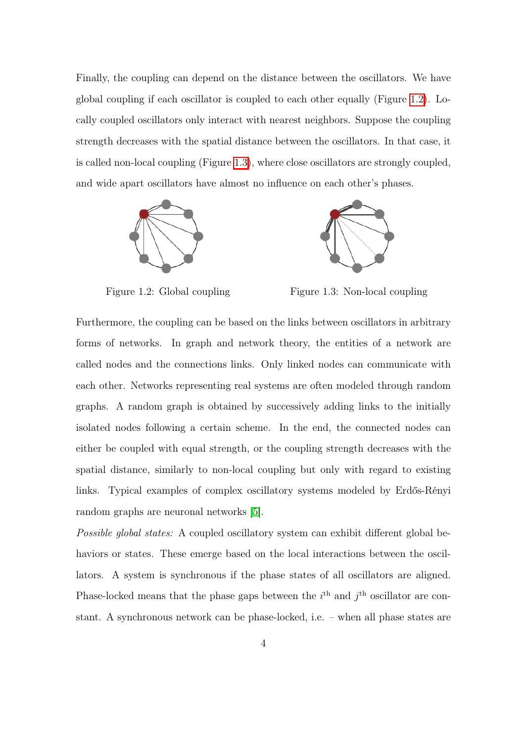Finally, the coupling can depend on the distance between the oscillators. We have global coupling if each oscillator is coupled to each other equally (Figure  $[1.2]$ ). Locally coupled oscillators only interact with nearest neighbors. Suppose the coupling strength decreases with the spatial distance between the oscillators. In that case, it is called non-local coupling (Figure  $\overline{1.3}$ ), where close oscillators are strongly coupled, and wide apart oscillators have almost no influence on each other's phases.



<span id="page-3-1"></span>

<span id="page-3-0"></span>

Figure 1.2: Global coupling Figure 1.3: Non-local coupling

Furthermore, the coupling can be based on the links between oscillators in arbitrary forms of networks. In graph and network theory, the entities of a network are called nodes and the connections links. Only linked nodes can communicate with each other. Networks representing real systems are often modeled through random graphs. A random graph is obtained by successively adding links to the initially isolated nodes following a certain scheme. In the end, the connected nodes can either be coupled with equal strength, or the coupling strength decreases with the spatial distance, similarly to non-local coupling but only with regard to existing links. Typical examples of complex oscillatory systems modeled by Erdős-Rényi random graphs are neuronal networks [\[5\]](#page-11-5).

*Possible global states:* A coupled oscillatory system can exhibit different global behaviors or states. These emerge based on the local interactions between the oscillators. A system is synchronous if the phase states of all oscillators are aligned. Phase-locked means that the phase gaps between the  $i<sup>th</sup>$  and  $j<sup>th</sup>$  oscillator are constant. A synchronous network can be phase-locked, i.e. – when all phase states are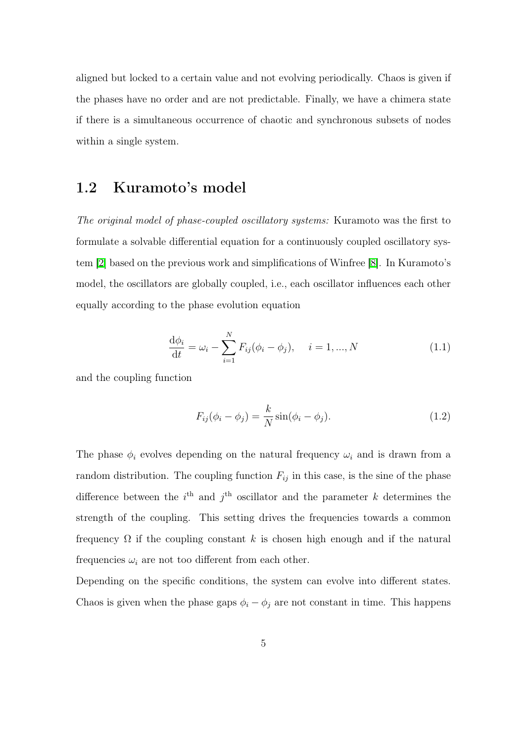aligned but locked to a certain value and not evolving periodically. Chaos is given if the phases have no order and are not predictable. Finally, we have a chimera state if there is a simultaneous occurrence of chaotic and synchronous subsets of nodes within a single system.

#### 1.2 Kuramoto's model

*The original model of phase-coupled oscillatory systems:* Kuramoto was the first to formulate a solvable differential equation for a continuously coupled oscillatory system [\[2\]](#page-11-1) based on the previous work and simplifications of Winfree [\[8\]](#page-12-0). In Kuramoto's model, the oscillators are globally coupled, i.e., each oscillator influences each other equally according to the phase evolution equation

$$
\frac{d\phi_i}{dt} = \omega_i - \sum_{i=1}^{N} F_{ij}(\phi_i - \phi_j), \quad i = 1, ..., N
$$
\n(1.1)

and the coupling function

$$
F_{ij}(\phi_i - \phi_j) = \frac{k}{N} \sin(\phi_i - \phi_j). \tag{1.2}
$$

The phase  $\phi_i$  evolves depending on the natural frequency  $\omega_i$  and is drawn from a random distribution. The coupling function  $F_{ij}$  in this case, is the sine of the phase difference between the  $i<sup>th</sup>$  and  $j<sup>th</sup>$  oscillator and the parameter *k* determines the strength of the coupling. This setting drives the frequencies towards a common frequency  $\Omega$  if the coupling constant k is chosen high enough and if the natural frequencies  $\omega_i$  are not too different from each other.

Depending on the specific conditions, the system can evolve into different states. Chaos is given when the phase gaps  $\phi_i - \phi_j$  are not constant in time. This happens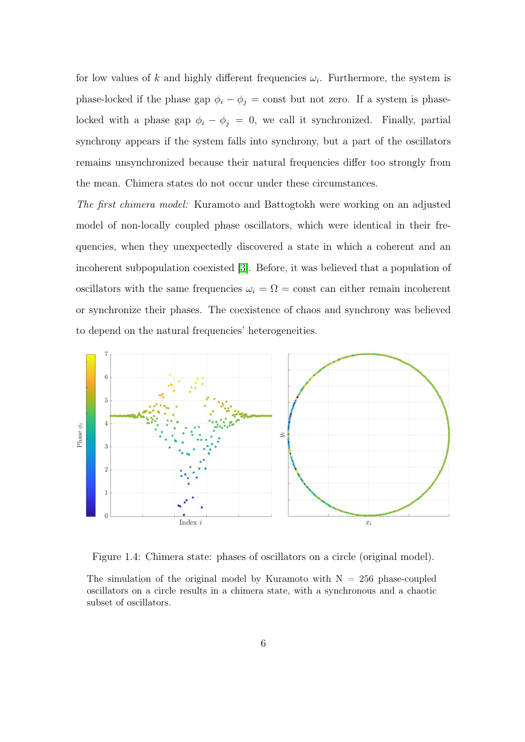for low values of k and highly different frequencies  $\omega_i$ . Furthermore, the system is phase-locked if the phase gap  $\phi_i - \phi_j = \text{const}$  but not zero. If a system is phaselocked with a phase gap  $\phi_i - \phi_j = 0$ , we call it synchronized. Finally, partial synchrony appears if the system falls into synchrony, but a part of the oscillators remains unsynchronized because their natural frequencies differ too strongly from the mean. Chimera states do not occur under these circumstances.

*The first chimera model:* Kuramoto and Battogtokh were working on an adjusted model of non-locally coupled phase oscillators, which were identical in their frequencies, when they unexpectedly discovered a state in which a coherent and an incoherent subpopulation coexisted  $\boxed{3}$ . Before, it was believed that a population of oscillators with the same frequencies  $\omega_i = \Omega = \text{const}$  can either remain incoherent or synchronize their phases. The coexistence of chaos and synchrony was believed to depend on the natural frequencies' heterogeneities.



<span id="page-5-0"></span>Figure 1.4: Chimera state: phases of oscillators on a circle (original model).

The simulation of the original model by Kuramoto with  $N = 256$  phase-coupled oscillators on a circle results in a chimera state, with a synchronous and a chaotic subset of oscillators.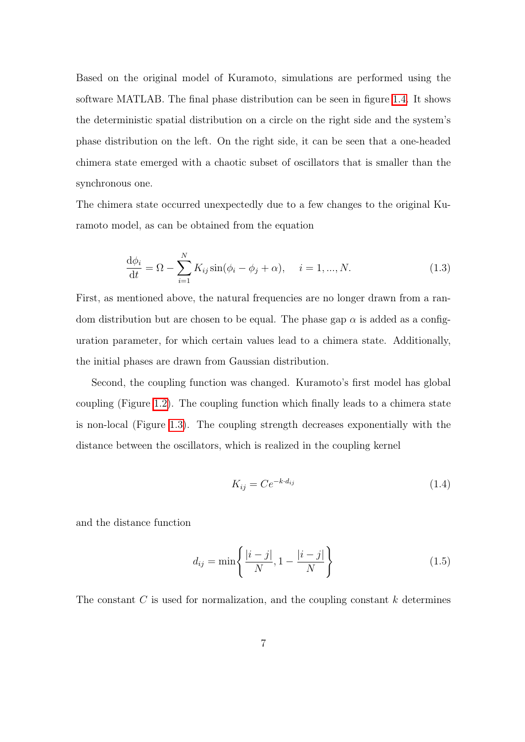Based on the original model of Kuramoto, simulations are performed using the software MATLAB. The final phase distribution can be seen in figure  $[1.4]$ . It shows the deterministic spatial distribution on a circle on the right side and the system's phase distribution on the left. On the right side, it can be seen that a one-headed chimera state emerged with a chaotic subset of oscillators that is smaller than the synchronous one.

The chimera state occurred unexpectedly due to a few changes to the original Kuramoto model, as can be obtained from the equation

$$
\frac{d\phi_i}{dt} = \Omega - \sum_{i=1}^{N} K_{ij} \sin(\phi_i - \phi_j + \alpha), \quad i = 1, ..., N.
$$
 (1.3)

First, as mentioned above, the natural frequencies are no longer drawn from a random distribution but are chosen to be equal. The phase gap  $\alpha$  is added as a configuration parameter, for which certain values lead to a chimera state. Additionally, the initial phases are drawn from Gaussian distribution.

Second, the coupling function was changed. Kuramoto's first model has global coupling (Figure  $\boxed{1.2}$ ). The coupling function which finally leads to a chimera state is non-local (Figure  $\overline{1.3}$ ). The coupling strength decreases exponentially with the distance between the oscillators, which is realized in the coupling kernel

<span id="page-6-0"></span>
$$
K_{ij} = Ce^{-k \cdot d_{ij}} \tag{1.4}
$$

and the distance function

$$
d_{ij} = \min\left\{\frac{|i-j|}{N}, 1 - \frac{|i-j|}{N}\right\}
$$
 (1.5)

The constant *C* is used for normalization, and the coupling constant *k* determines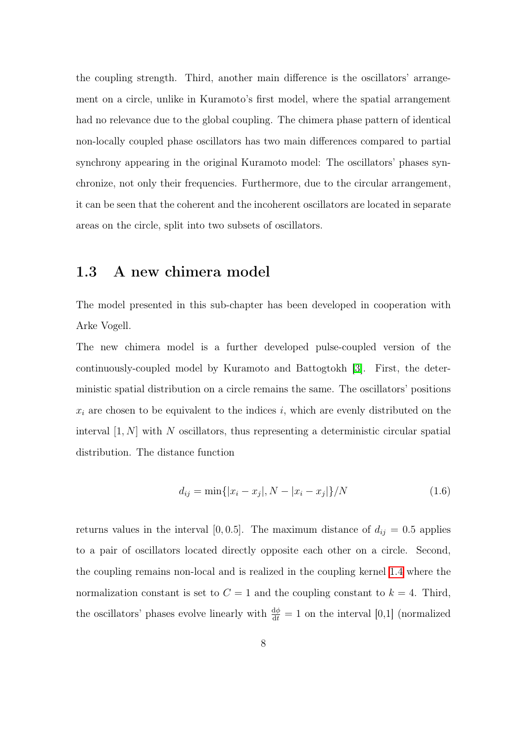the coupling strength. Third, another main difference is the oscillators' arrangement on a circle, unlike in Kuramoto's first model, where the spatial arrangement had no relevance due to the global coupling. The chimera phase pattern of identical non-locally coupled phase oscillators has two main differences compared to partial synchrony appearing in the original Kuramoto model: The oscillators' phases synchronize, not only their frequencies. Furthermore, due to the circular arrangement, it can be seen that the coherent and the incoherent oscillators are located in separate areas on the circle, split into two subsets of oscillators.

#### 1.3 A new chimera model

The model presented in this sub-chapter has been developed in cooperation with Arke Vogell.

The new chimera model is a further developed pulse-coupled version of the continuously-coupled model by Kuramoto and Battogtokh [\[3\]](#page-11-6). First, the deterministic spatial distribution on a circle remains the same. The oscillators' positions  $x_i$  are chosen to be equivalent to the indices  $i$ , which are evenly distributed on the interval [1*, N*] with *N* oscillators, thus representing a deterministic circular spatial distribution. The distance function

$$
d_{ij} = \min\{|x_i - x_j|, N - |x_i - x_j|\}/N\tag{1.6}
$$

returns values in the interval [0, 0.5]. The maximum distance of  $d_{ij} = 0.5$  applies to a pair of oscillators located directly opposite each other on a circle. Second, the coupling remains non-local and is realized in the coupling kernel [1.4](#page-6-0) where the normalization constant is set to  $C = 1$  and the coupling constant to  $k = 4$ . Third, the oscillators' phases evolve linearly with  $\frac{d\phi}{dt} = 1$  on the interval [0,1] (normalized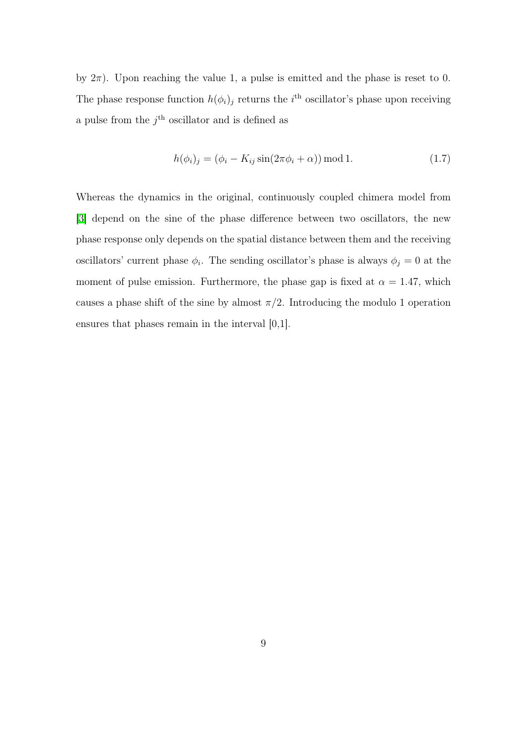by  $2\pi$ ). Upon reaching the value 1, a pulse is emitted and the phase is reset to 0. The phase response function  $h(\phi_i)_j$  returns the *i*<sup>th</sup> oscillator's phase upon receiving a pulse from the *j*th oscillator and is defined as

$$
h(\phi_i)_j = (\phi_i - K_{ij}\sin(2\pi\phi_i + \alpha)) \mod 1. \tag{1.7}
$$

Whereas the dynamics in the original, continuously coupled chimera model from [\[3\]](#page-11-6) depend on the sine of the phase difference between two oscillators, the new phase response only depends on the spatial distance between them and the receiving oscillators' current phase  $\phi_i$ . The sending oscillator's phase is always  $\phi_j = 0$  at the moment of pulse emission. Furthermore, the phase gap is fixed at  $\alpha = 1.47$ , which causes a phase shift of the sine by almost  $\pi/2$ . Introducing the modulo 1 operation ensures that phases remain in the interval [0,1].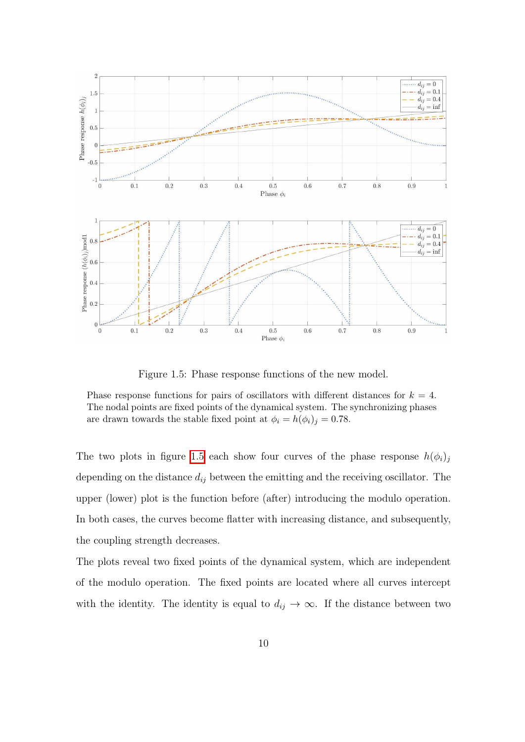

<span id="page-9-0"></span>Figure 1.5: Phase response functions of the new model.

Phase response functions for pairs of oscillators with different distances for  $k = 4$ . The nodal points are fixed points of the dynamical system. The synchronizing phases are drawn towards the stable fixed point at  $\phi_i = h(\phi_i)_j = 0.78$ .

The two plots in figure [1.5](#page-9-0) each show four curves of the phase response  $h(\phi_i)_j$ depending on the distance *dij* between the emitting and the receiving oscillator. The upper (lower) plot is the function before (after) introducing the modulo operation. In both cases, the curves become flatter with increasing distance, and subsequently, the coupling strength decreases.

The plots reveal two fixed points of the dynamical system, which are independent of the modulo operation. The fixed points are located where all curves intercept with the identity. The identity is equal to  $d_{ij} \to \infty$ . If the distance between two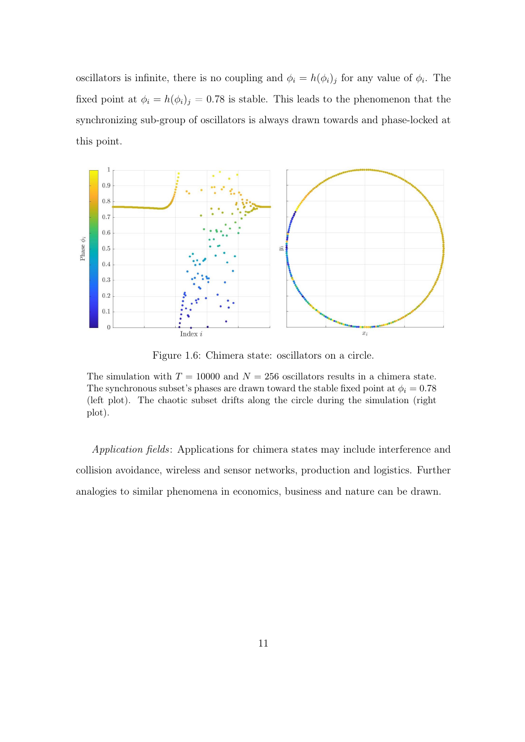oscillators is infinite, there is no coupling and  $\phi_i = h(\phi_i)_j$  for any value of  $\phi_i$ . The fixed point at  $\phi_i = h(\phi_i)_j = 0.78$  is stable. This leads to the phenomenon that the synchronizing sub-group of oscillators is always drawn towards and phase-locked at this point.



Figure 1.6: Chimera state: oscillators on a circle.

The simulation with  $T = 10000$  and  $N = 256$  oscillators results in a chimera state. The synchronous subset's phases are drawn toward the stable fixed point at  $\phi_i = 0.78$ (left plot). The chaotic subset drifts along the circle during the simulation (right plot).

*Application fields*: Applications for chimera states may include interference and collision avoidance, wireless and sensor networks, production and logistics. Further analogies to similar phenomena in economics, business and nature can be drawn.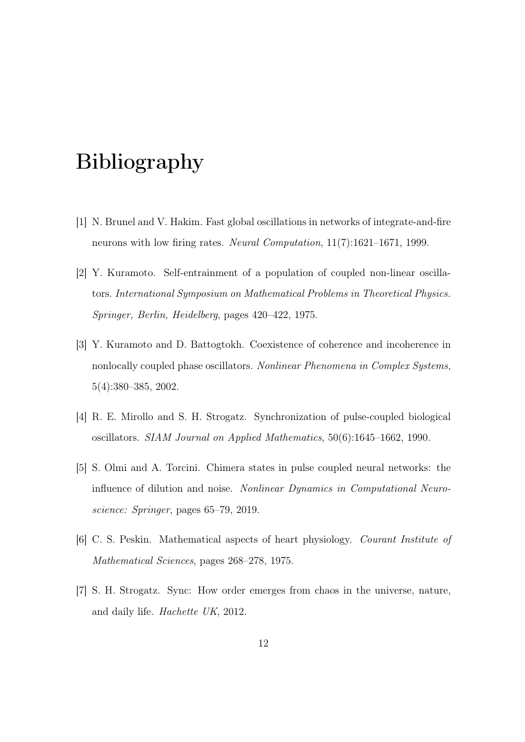# Bibliography

- <span id="page-11-4"></span>[1] N. Brunel and V. Hakim. Fast global oscillations in networks of integrate-and-fire neurons with low firing rates. *Neural Computation*, 11(7):1621–1671, 1999.
- <span id="page-11-1"></span>[2] Y. Kuramoto. Self-entrainment of a population of coupled non-linear oscillators. *International Symposium on Mathematical Problems in Theoretical Physics. Springer, Berlin, Heidelberg*, pages 420–422, 1975.
- <span id="page-11-6"></span>[3] Y. Kuramoto and D. Battogtokh. Coexistence of coherence and incoherence in nonlocally coupled phase oscillators. *Nonlinear Phenomena in Complex Systems*, 5(4):380–385, 2002.
- <span id="page-11-0"></span>[4] R. E. Mirollo and S. H. Strogatz. Synchronization of pulse-coupled biological oscillators. *SIAM Journal on Applied Mathematics*, 50(6):1645–1662, 1990.
- <span id="page-11-5"></span>[5] S. Olmi and A. Torcini. Chimera states in pulse coupled neural networks: the influence of dilution and noise. *Nonlinear Dynamics in Computational Neuroscience: Springer*, pages 65–79, 2019.
- <span id="page-11-2"></span>[6] C. S. Peskin. Mathematical aspects of heart physiology. *Courant Institute of Mathematical Sciences*, pages 268–278, 1975.
- <span id="page-11-3"></span>[7] S. H. Strogatz. Sync: How order emerges from chaos in the universe, nature, and daily life. *Hachette UK*, 2012.